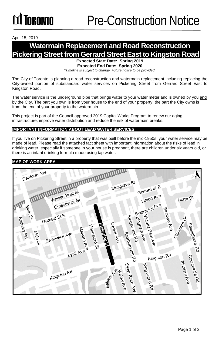April 15, 2019

# **Watermain Replacement and Road Reconstruction Pickering Street from Gerrard Street East to Kingston Road**

**Expected Start Date: Spring 2019** 

**Expected End Date: Spring 2020**  *\*Timeline is subject to change. Future notice to be provided.*

The City of Toronto is planning a road reconstruction and watermain replacement including replacing the City-owned portion of substandard water services on Pickering Street from Gerrard Street East to Kingston Road.

The water service is the underground pipe that brings water to your water meter and is owned by you and by the City. The part you own is from your house to the end of your property, the part the City owns is from the end of your property to the watermain.

This project is part of the Council-approved 2019 Capital Works Program to renew our aging infrastructure, improve water distribution and reduce the risk of watermain breaks.

### **IMPORTANT INFORMATION ABOUT LEAD WATER SERVICES**

If you live on Pickering Street in a property that was built before the mid-1950s, your water service may be made of lead. Please read the attached fact sheet with important information about the risks of lead in drinking water, especially if someone in your house is pregnant, there are children under six years old, or there is an infant drinking formula made using tap water.

### **MAP OF WORK AREA**